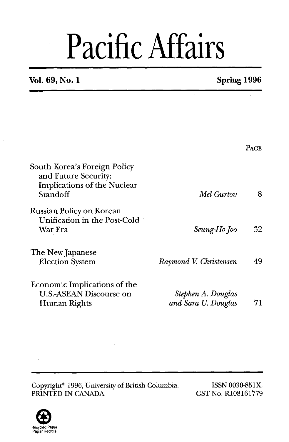# Pacific Affairs

### **Vol. 69, No. 1 Spring 1996**

|                                                                                                        |                                           | <b>PAGE</b> |
|--------------------------------------------------------------------------------------------------------|-------------------------------------------|-------------|
| South Korea's Foreign Policy<br>and Future Security:<br><b>Implications of the Nuclear</b><br>Standoff | Mel Gurtov                                | 8           |
| Russian Policy on Korean<br>Unification in the Post-Cold<br>War Era                                    | Seung-Ho Joo                              | 32          |
| The New Japanese<br><b>Election System</b>                                                             | Raymond V. Christensen                    | 49          |
| Economic Implications of the<br>U.S.-ASEAN Discourse on<br>Human Rights                                | Stephen A. Douglas<br>and Sara U. Douglas | 71          |

Copyright<sup>®</sup> 1996, University of British Columbia. ISSN 0030-851X.<br>
PRINTED IN CANADA GST No. R108161779 PRINTED IN CANADA



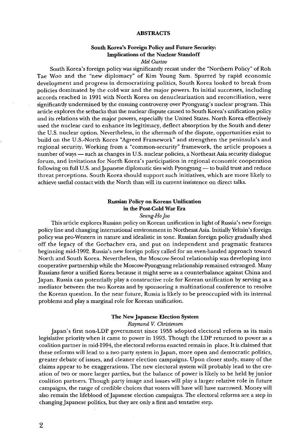#### **ABSTRACTS**

#### **South Korea's Foreign Policy and Future Security: Implications of the Nuclear Standoff**

*Me1 Gurtov* 

South Korea's foreign policy was significantly recast under the "Northern Policy" of Roh Tae Woo and the "new diplomacy" of Kim Young Sam. Spurred by rapid economic development and progress in democratizing politics, South Korea looked to break from policies dominated by the cold war and the major powers. Its initial successes, including accords reached in 1991 with North Korea on denuclearization and reconciliation, were significantly undermined by the ensuing controversy over Pyongyang's nuclear program. This article explores the setbacks that the nuclear dispute caused to South Korea's unification policy and its relations with the major powers, especially the United States. North Korea effectively used the nuclear card to enhance its legitimacy, deflect absorption by the South and deter the U.S. nuclear option. Nevertheless, in the aftermath of the dispute, opportunities exist to build on the US.-North Korea "Agreed Framework" and strengthen the peninsula's and regional security. Working from a "common-security" framework, the article proposes a number of ways - such as changes in U.S. nuclear policies, a Northeast Asia security dialogue forum, and invitations for North Korea's participation in regional economic cooperation following on full U.S. and Japanese diplomatic ties with Pyongyang - to build trust and reduce threat perceptions. South Korea should support such initiatives, which are more likely to achieve useful contact with the North than will its current insistence on direct talks.

#### **Russian Policy on Korean Unification in the Post-Cold War Era**

*Seung-Ho Joo* 

This article explores Russian policy on Korean unification in light of Russia's new foreign policy line and changing international environment in Northeast Asia. Initially Yeltsin's foreign policy was pro-Western in nature and idealistic in tone. Russian foreign policy gradually shed off the legacy of the Gorbachev era, and put on independent and pragmatic features beginning mid-1992. Russia's new foreign policy called for an even-handed approach toward North and South Korea. Nevertheless, the Moscow-Seoul relationship was developing into cooperative partnership while the Moscow-Pyongyang relationship remained estranged. Many Russians favor a unified Korea because it might serve as a counterbalance against China and Japan. Russia can potentially play a constructive role for Korean unification by serving as a mediator between the two Koreas and by sponsoring a multinational conference to resolve the Korean question. In the near future, Russia is likely to be preoccupied with its internal problems and play a marginal role for Korean unification.

#### **The New Japanese Election System**

#### *Raymond* **V.** *Christensen*

Japan's first non-LDP government since 1955 adopted electoral reform as its main legislative priority when it came to power in 1993. Though the LDP returned to power as a coalition partner in mid-1994, the electoral reforms enacted remain in place. It is claimed that these reforms will lead to a two-party system in Japan, more open and democratic politics, greater debate of issues, and cleaner election campaigns. Upon closer study, many of the claims appear to be exaggerations. The new electoral system will probably lead to the creation of two or more larger parties, but the balance of power is likely to be held by junior coalition partners. Though party image and issues will play a larger relative role in future campaigns, the range of credible choices that voters will have will have narrowed. Money will also remain the lifeblood of Japanese election campaigns. The electoral reforms are a step in changing Japanese politics, but they are only a first and tentative step.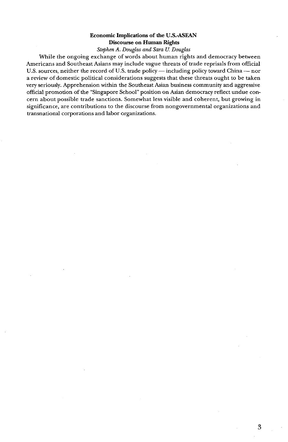#### **Economic Implications of the U.S.-ASEAN Discourse on Human Rights**

*Stephen* **A.** *Douglas* and *Sara U. Douglas* 

While the ongoing exchange of words about human rights and democracy between Americans and Southeast Asians may include vague threats of trade reprisals from official U.S. sources, neither the record of U.S. trade policy - including policy toward China - nor a review of domestic political considerations suggests that these threats ought to be taken very seriously. Apprehension within the Southeast Asian business community and aggressive official promotion of the "Singapore School" position on Asian democracy reflect undue concern about possible trade sanctions. Somewhat less visible and coherent, but growing in significance, are contributions to the discourse from nongovernmental organizations and transnational corporations and labor organizations.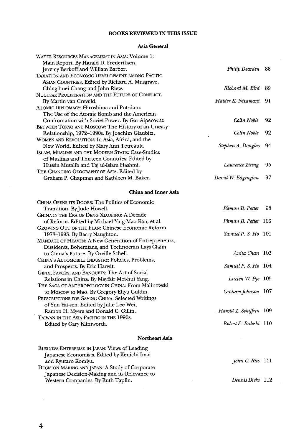#### **BOOKS REVIEWED IN THIS ISSUE**

#### **Asia General**

| WATER RESOURCES MANAGEMENT IN ASIA: Volume 1:      |                    |     |
|----------------------------------------------------|--------------------|-----|
| Main Report. By Harald D. Frederiksen,             |                    |     |
| Jeremy Berkoff and William Barber.                 | Philip Dearden     | -88 |
| TAXATION AND ECONOMIC DEVELOPMENT AMONG PACIFIC    |                    |     |
| ASIAN COUNTRIES. Edited by Richard A. Musgrave,    |                    |     |
| Ching-huei Chang and John Riew.                    | Richard M. Bird 89 |     |
| NUCLEAR PROLIFERATION AND THE FUTURE OF CONFLICT.  |                    |     |
| By Martin van Creveld.                             | Haider K. Nizamani | 91  |
| ATOMIC DIPLOMACY: Hiroshima and Potsdam:           |                    |     |
| The Use of the Atomic Bomb and the American        |                    |     |
| Confrontation with Soviet Power. By Gar Alperovitz | Colin Noble        | 92  |
| BETWEEN TOKYO AND MOSCOW: The History of an Uneasy |                    |     |
| Relationship, 1972–1990s. By Joachim Glaubitz.     | Colin Noble        | 92  |
| WOMEN AND REVOLUTION: In Asia, Africa, and the     |                    |     |
| New World. Edited by Mary Ann Tetreault.           | Stephen A. Douglas | 94  |
| ISLAM, MUSLIMS AND THE MODERN STATE: Case-Studies  |                    |     |
| of Muslims and Thirteen Countries. Edited by       |                    |     |
| Hussin Mutalib and Taj ul-Islam Hashmi.            | Lawrence Ziring    | 95  |
| THE CHANGING GEOGRAPHY OF ASIA. Edited by          |                    |     |
| Graham P. Chapman and Kathleen M. Baker.           | David W. Edgington | 97  |
|                                                    |                    |     |

#### **China and Inner Asia**

| CHINA OPENS ITS DOORS: The Politics of Economic       |                         |
|-------------------------------------------------------|-------------------------|
| Transition. By Jude Howell.                           | Pitman B. Potter<br>98  |
| CHINA IN THE ERA OF DENG XIAOPING: A Decade           |                         |
| of Reform. Edited by Michael Ying-Mao Kau, et al.     | Pitman B. Potter 100    |
| GROWING OUT OF THE PLAN: Chinese Economic Reform      |                         |
| 1978–1993. By Barry Naughton.                         | Samuel P. S. Ho 101     |
| MANDATE OF HEAVEN: A New Generation of Entrepreneurs, |                         |
| Dissidents, Bohemians, and Technocrats Lays Claim     |                         |
| to China's Future. By Orville Schell.                 | Anita Chan 103          |
| CHINA'S AUTOMOBILE INDUSTRY: Policies, Problems,      |                         |
| and Prospects. By Eric Harwit.                        | Samuel P. S. Ho 104     |
| GIFTS, FAVORS, AND BANQUETS: The Art of Social        |                         |
| Relations in China. By Mayfair Mei-hui Yang.          | Lucien W. Pye 105       |
| The Saga of Anthropology in China: From Malinowski    |                         |
| to Moscow to Mao. By Gregory Eliyu Guldin.            | Graham Johnson 107      |
| PRESCRIPTIONS FOR SAVING CHINA: Selected Writings     |                         |
| of Sun Yat-sen. Edited by Julie Lee Wei,              |                         |
| Ramon H. Myers and Donald C. Gillin.                  | Harold Z. Schiffrin 109 |
| TAIWAN IN THE ASIA-PACIFIC IN THE 1990s.              |                         |
| Edited by Gary Klintworth.                            | Robert E. Bedeski 110   |
|                                                       |                         |

#### **Northeast Asia**

| BUSINESS ENTERPRISE IN JAPAN: Views of Leading  |                  |  |
|-------------------------------------------------|------------------|--|
| Japanese Economists. Edited by Kenichi Imai     |                  |  |
| and Ryutaro Komiya.                             | John C. Ries 111 |  |
| DECISION-MAKING AND JAPAN: A Study of Corporate |                  |  |
| Japanese Decision-Making and its Relevance to   |                  |  |
| Western Companies. By Ruth Taplin.              | Dennis Dicks 112 |  |

 $\overline{a}$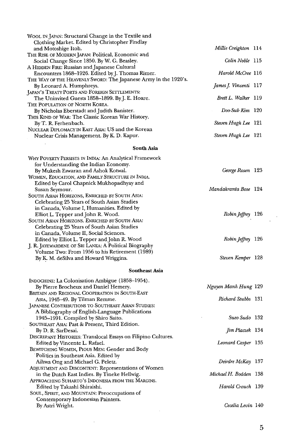| WOOL IN JAPAN: Structural Change in the Textile and                                            |                         |  |
|------------------------------------------------------------------------------------------------|-------------------------|--|
| Clothing Market. Edited by Christopher Findlay                                                 |                         |  |
| and Motoshige Itoh.<br>THE RISE OF MODERN JAPAN: Political, Economic and                       | Millie Creighton 114    |  |
| Social Change Since 1850. By W. G. Beasley.                                                    | Colin Noble 115         |  |
| A HIDDEN FIRE: Russian and Japanese Cultural                                                   |                         |  |
| Encounters 1868–1926. Edited by J. Thomas Rimer.                                               | Harold McCree 116       |  |
| THE WAY OF THE HEAVENLY SWORD: The Japanese Army in the 1920's.                                |                         |  |
| By Leonard A. Humphreys.                                                                       | James J. Vincenti 117   |  |
| JAPAN'S TREATY PORTS AND FOREIGN SETTLEMENTS:                                                  |                         |  |
| The Uninvited Guests 1858–1899. By J. E. Hoare.                                                | Brett L. Walker 119     |  |
| The Population of North Korea.                                                                 |                         |  |
| By Nicholas Eberstadt and Judith Banister.                                                     | Doo-Sub Kim 120         |  |
| THIS KIND OF WAR: The Classic Korean War History.<br>By T. R. Ferhenbach.                      | Steven Hugh Lee 121     |  |
| NUCLEAR DIPLOMACY IN EAST ASIA: US and the Korean                                              |                         |  |
| Nuclear Crisis Management. By K. D. Kapur.                                                     | Steven Hugh Lee 121     |  |
|                                                                                                |                         |  |
| South Asia                                                                                     |                         |  |
| WHY POVERTY PERSISTS IN INDIA: An Analytical Framework                                         |                         |  |
| for Understanding the Indian Economy.                                                          |                         |  |
| By Mukesh Eswaran and Ashok Kotwal.                                                            | George Rosen 123        |  |
| WOMEN, EDUCATION, AND FAMILY STRUCTURE IN INDIA.                                               |                         |  |
| Edited by Carol Chapnick Mukhopadhyay and                                                      |                         |  |
| Susan Seymour.<br>SOUTH ASIAN HORIZONS, ENRICHED BY SOUTH ASIA:                                | Mandakranta Bose 124    |  |
| Celebrating 25 Years of South Asian Studies                                                    |                         |  |
| in Canada, Volume I, Humanities. Edited by                                                     |                         |  |
| Elliot L. Tepper and John R. Wood.                                                             | Robin Jeffrey 126       |  |
| South Asian Horizons. Enriched by South Asia:                                                  |                         |  |
| Celebrating 25 Years of South Asian Studies                                                    |                         |  |
| in Canada, Volume II, Social Sciences.                                                         |                         |  |
| Edited by Elliot L. Tepper and John R. Wood                                                    | Robin Jeffrey 126       |  |
| J. R. JAYEWARDENE OF SRI LANKA: A Political Biography                                          |                         |  |
| Volume Two: From 1956 to his Retirement (1989)                                                 |                         |  |
| By K. M. deSilva and Howard Wriggins.                                                          | Steven Kemper 128       |  |
| Southeast Asia                                                                                 |                         |  |
| INDOCHINE: La Colonisation Ambigue (1858-1954).                                                |                         |  |
| By Pierre Brocheux and Daniel Hemery.                                                          | Nguyen Manh Hung 129    |  |
| BRITAIN AND REGIONAL COOPERATION IN SOUTH-EAST                                                 |                         |  |
| Asia, 1945–49. By Tilman Remme.                                                                | Richard Stubbs 131      |  |
| JAPANESE CONTRIBUTIONS TO SOUTHEAST ASIAN STUDIES:                                             |                         |  |
| A Bibliography of English-Language Publications                                                |                         |  |
| 1945–1991. Compiled by Shiro Saito.                                                            | Sueo Sudo 132           |  |
| SOUTHEAST ASIA: Past & Present, Third Edition.                                                 |                         |  |
| By D. R. SarDesai.                                                                             | Jim Placzek 134         |  |
| DISCREPANT HISTORIES: Translocal Essays on Filipino Cultures.<br>Edited by Vincente L. Rafael. | Leonard Casper 135      |  |
| BEWITCHING WOMEN, PIOUS MEN: Gender and Body                                                   |                         |  |
| Politics in Southeast Asia. Edited by                                                          |                         |  |
| Aihwa Ong and Michael G. Peletz.                                                               | Deirdre McKay 137       |  |
| ADJUSTMENT AND DISCONTENT: Representations of Women                                            |                         |  |
| in the Dutch East Indies. By Tineke Hellwig.                                                   | Michael H. Bodden   138 |  |
| APPROACHING SUHARTO'S INDONESIA FROM THE MARGINS.                                              |                         |  |
| Edited by Takashi Shiraishi.                                                                   | Harold Crouch 139       |  |
| SOUL, SPIRIT, AND MOUNTAIN: Preoccupations of                                                  |                         |  |
| Contemporary Indonesian Painters.                                                              |                         |  |
| By Astri Wright.                                                                               | Cecelia Levin 140       |  |

 $\hat{\mathcal{L}}$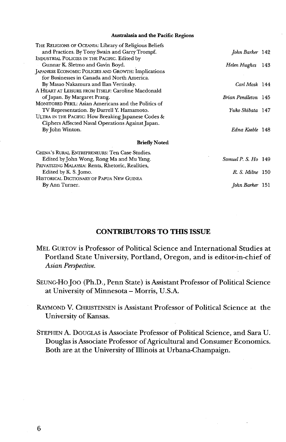#### **Australasia and the Pacific Regions**

| THE RELIGIONS OF OCEANIA: Library of Religious Beliefs |                     |     |
|--------------------------------------------------------|---------------------|-----|
| and Practices. By Tony Swain and Garry Trompf.         | John Barker 142     |     |
| INDUSTRIAL POLICIES IN THE PACIFIC. Edited by          |                     |     |
| Gunnar K. Sletmo and Gavin Boyd.                       | Helen Hughes        | 143 |
| JAPANESE ECONOMIC POLICIES AND GROWTH: Implications    |                     |     |
| for Businesses in Canada and North America.            |                     |     |
| By Masao Nakamura and Ilan Vertinsky.                  | Carl Mosk 144       |     |
| A HEART AT LEISURE FROM ITSELF: Caroline Macdonald     |                     |     |
| of Japan. By Margaret Prang.                           | Brian Pendleton 145 |     |
| MONITORED PERIL: Asian Americans and the Politics of   |                     |     |
| TV Representation. By Darrell Y. Hamamoto.             | Yuko Shibata 147    |     |
| ULTRA IN THE PACIFIC: How Breaking Japanese Codes &    |                     |     |
| Ciphers Affected Naval Operations Against Japan.       |                     |     |
| By John Winton.                                        | Edna Keeble 148     |     |
| <b>Briefly Noted</b>                                   |                     |     |
| CHINA'S RURAL ENTREPRENEURS: Ten Case Studies.         |                     |     |
| Edited by John Wong, Rong Ma and Mu Yang.              | Samuel P. S. Ho 149 |     |
| PRIVATIZING MALAYSIA: Rents, Rhetoric, Realities,      |                     |     |
| Edited by K. S. Jomo.                                  | R. S. Milne 150     |     |
| HISTORICAL DICTIONARY OF PAPUA NEW GUINEA              |                     |     |
| By Ann Turner.                                         | John Barker 151     |     |

#### **CONTRIBUTORS TO THIS ISSUE**

- MEL GURTOV isProfessor of Political Science and International Studies at Portland State University, Portland, Oregon, and is editor-in-chief of *Asian Perspective.*
- SEUNGHO JOO (Ph.D., Penn State) is Assistant Professor of Political Science at University of Minnesota - Morris, U.S.A.
- RAYMOND V. CHRISTENSEN is Assistant Professor of Political Science at the University of Kansas.
- STEPHEN A. DOUGLAS is Associate Professor of Political Science, and Sara U. Douglas is Associate Professor of Agricultural and Consumer Economics. Both are at the University of Illinois at Urbana-Champaign.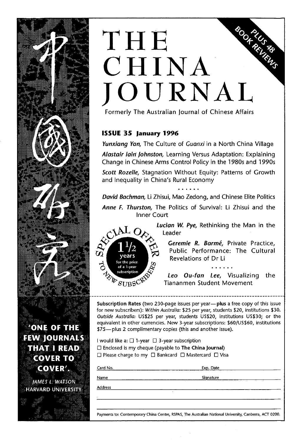## **SOOF ALLS TOP** THE CHINA JOURNAL **<sup>7</sup>**

Formerly The Australian journal of Chinese Affairs

#### **ISSUE 35 January 1996**

**Yunxiang Van,** The Culture of **Guanxi** in a North China Village

**Alastair lain]ohnston,** Learning Versus Adaptation: Explaining Change in Chinese Arms Control Policy in the 1980s and 1990s

**Scott Rozelle,** Stagnation Without Equity: Patterns of Growth and Inequality in China's Rural Economy ......

**David Bachman,** Li Zhisui, Mao Zedong, and Chinese Elite Politics

**Anne F. Thurston,** The Politics of Survival: Li Zhisui and the Inner Court



**Lucian W. Pye, Rethinking the Man in the** <br> $\mathbf{L} \mathbf{Q}_{\lambda}$ , Leader

**Ceremie R. Barme,** Private Practice, Public Performance: The Cultural Revelations of Dr Li ม. น<br>. . . . *.* .

**Leo Ou-fan Lee,** Visualizing the  $\mathcal{W}_{\text{SITRSC}}$   $\mathcal{W}_{\text{SITR}}$  Tiananmen Student Movement

Subscription Rates (two 230-page issues per year-plus a free copy of this issue for new subscribers): Within Australia: \$25 per year, students \$20, institutions \$30. Outside Australia: US\$25 per year, students US\$20, institutions US\$30; or the equivalent in other currencies. New 3-year subscriptions: \$60/US\$60, institutions \$75-plus 2 complimentary copies (this and another issue).

I would like a:  $\Box$  1-year  $\Box$  3-year subscription  $\Box$  Enclosed is my cheque (payable to The China Journal)  $\square$  Please charge to my  $\square$  Bankcard  $\square$  Mastercard  $\square$  Visa

**Card No. Exp. Date leader of the card No. Exp. Date leader of the card No. leader of the card of the card of the card of the card of the card of the card of the card of the card of the card of the card of the ca Name Siqnature** l

**Address** l

**Payments to: Contemporary China Centre,** RSPAS, **The Australian National University, Canberra, ACT 0200.** 

**'ONE OF THE FEW JOURNALS THAT I READ COVER TO COVER'.** 

**IAMES LEWATSON HARVARD UNIVERSITY**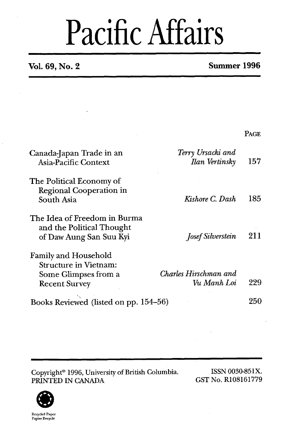## Pacific Affairs

### **Vol. 69, No. 2 Summer 1996**

|                                                                                                      |                                            | PAGE |
|------------------------------------------------------------------------------------------------------|--------------------------------------------|------|
| Canada-Japan Trade in an<br>Asia-Pacific Context                                                     | Terry Ursacki and<br><b>Ilan Vertinsky</b> | 157  |
| The Political Economy of<br>Regional Cooperation in<br>South Asia                                    | Kishore C. Dash                            | 185  |
| The Idea of Freedom in Burma<br>and the Political Thought<br>of Daw Aung San Suu Kyi                 | <b>Josef Silverstein</b>                   | 211  |
| <b>Family and Household</b><br>Structure in Vietnam:<br>Some Glimpses from a<br><b>Recent Survey</b> | Charles Hirschman and<br>Vu Manh Loi       | 229  |
| Books Reviewed (listed on pp. 154-56)                                                                |                                            | 250  |

Copyright<sup>®</sup> 1996, University of British Columbia. ISSN 0030-851X.<br>
PRINTED IN CANADA GST No. R108161779 PRINTED IN CANADA

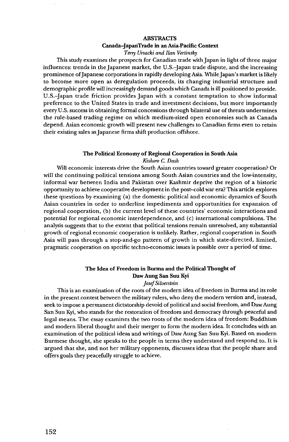#### **ABSTRACTS**

### **Canada-JapanTrade in an Asia-Pacific Context**

*Terry Ursacki and Ilan Vertinsky* 

This study examines the prospects for Canadian trade with Japan in light of three major influences: trends in the Japanese market, the U.S.-Japan trade dispute, and the increasing prominence of Japanese corporations in rapidly developing Asia. While Japan's market is likely to become more open as deregulation proceeds, its changing industrial structure and demographic profile will increasingly demand goods which Canada is ill positioned to provide. U.S.-Japan trade friction provides Japan with a constant temptation to show informal preference to the United States in trade and investment decisions, but more importantly every U.S. success in obtaining formal concessions through bilateral use of threats undermines the rule-based trading regime on which medium-sized open economies such as Canada depend. Asian economic growth will present new challenges to Canadian firms even to retain their existing sales as Japanese firms shift production offshore.

#### **The Political Economy of Regional Cooperation in South Asia**

*Kishore* **C.** *Dash* 

Will economic interests drive the South Asian countries toward greater cooperation? Or will the continuing political tensions among South Asian countries and the low-intensity, informal war between India and Pakistan over Kashmir deprive the region of a historic opportunity to achieve cooperative development in the post-cold war era? This article explores these questions by examining (a) the domestic political and economic dynamics of South Asian countries in order to underline impediments and opportunities for expansion of regional cooperation, (b) the current level of these countries' economic interactions and potential for regional economic interdependence, and (c) international compulsions. The analysis suggests that to the extent that political tensions remain unresolved, any substantial growth of regional economic cooperation is unlikely. Rather, regional cooperation in South Asia will pass through a stop-and-go pattern of growth in which state-directed, limited, pragmatic cooperation on specific techno-economic issues is possible over a period of time.

#### **The Idea of Freedom in Burma and the Political Thought of**  Daw Aung **San Suu Kyi**

*Josef Silverstein* 

This is an examination of the roots of the modern idea of freedom in Burma and its role in the present contest between the military rulers, who deny the modern version and, instead, seek to impose a permanent dictatorship devoid of political and social freedom, and Daw Aung San Suu Kyi, who stands for the restoration of freedom and democracy through peaceful and legal means. The essay examines the two roots of the modern idea of freedom: Buddhism and modern liberal thought and their merger to form the modern idea. It concludes with an examination of the political ideas and writings of Daw Aung San Suu Kyi. Based on modern Burmese thought, she speaks to the people in terms they understand and respond to. It is argued that she, and not her military opponents, discusses ideas that the people share and offers goals they peacefully struggle to achieve.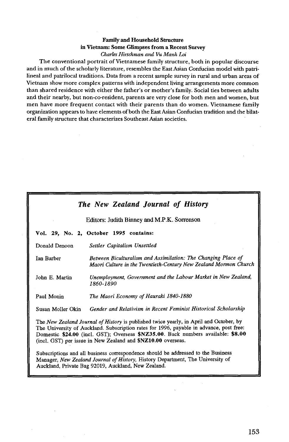#### **Family and Household Structure**  in **Vietnam: Some Glimpses from a Recent Survey**  *Charles Hirschman and Vu Manh Loi*

The conventional portrait of Vietnamese family structure, both in popular discourse and in much of the scholarly literature, resembles the East Asian Confucian model with patrilineal and patrilocal traditions. Data from a recent sample survey in rural and urban areas of Vietnam show more complex patterns with independent living arrangements more common than shared residence with either the father's or mother's family. Social ties between adults and their nearby, but non-CO-resident, parents are very close for both men and women, but men have more frequent contact with their parents than do women. Vietnamese family organization appears to have elements of both the East Asian Confucian tradition and the bilateral family structure that characterizes Southeast Asian societies.

|                                                                                                                                                                                                                                                                                                                                       | The New Zealand Journal of History                                                                                                |  |
|---------------------------------------------------------------------------------------------------------------------------------------------------------------------------------------------------------------------------------------------------------------------------------------------------------------------------------------|-----------------------------------------------------------------------------------------------------------------------------------|--|
|                                                                                                                                                                                                                                                                                                                                       | Editors: Judith Binney and M.P.K. Sorrenson                                                                                       |  |
|                                                                                                                                                                                                                                                                                                                                       | Vol. 29, No. 2, October 1995 contains:                                                                                            |  |
| Donald Denoon                                                                                                                                                                                                                                                                                                                         | Settler Capitalism Unsettled                                                                                                      |  |
| <b>Ian Barber</b>                                                                                                                                                                                                                                                                                                                     | Between Biculturalism and Assimilation: The Changing Place of<br>Maori Culture in the Twentieth-Century New Zealand Mormon Church |  |
| John E. Martin                                                                                                                                                                                                                                                                                                                        | Unemployment, Government and the Labour Market in New Zealand,<br>1860-1890                                                       |  |
| Paul Monin                                                                                                                                                                                                                                                                                                                            | The Maori Economy of Hauraki 1840-1880                                                                                            |  |
| Susan Moller Okin                                                                                                                                                                                                                                                                                                                     | Gender and Relativism in Recent Feminist Historical Scholarship                                                                   |  |
| The New Zealand Journal of History is published twice yearly, in April and October, by<br>The University of Auckland. Subscription rates for 1996, payable in advance, post free:<br>Domestic \$24.00 (incl. GST); Overseas \$NZ35.00. Back numbers available: \$8.00<br>(incl. GST) per issue in New Zealand and \$NZ10.00 overseas. |                                                                                                                                   |  |
| Subscriptions and all business correspondence should be addressed to the Business<br>Manager, New Zealand Journal of History, History Department, The University of<br>Auckland, Private Bag 92019, Auckland, New Zealand.                                                                                                            |                                                                                                                                   |  |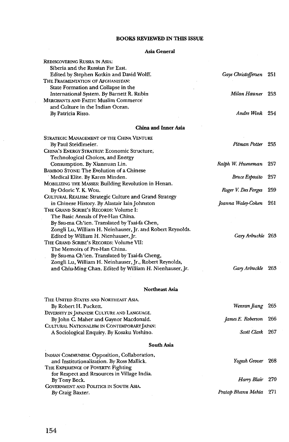#### **BOOKS REVIEWED IN THIS ISSUE**

#### **Asia General**

| REDISCOVERING RUSSIA IN ASIA:                                                                      |                       |     |
|----------------------------------------------------------------------------------------------------|-----------------------|-----|
| Siberia and the Russian Far East.                                                                  |                       |     |
| Edited by Stephen Kotkin and David Wolff.                                                          | Gaye Christoffersen   | 251 |
| THE FRAGMENTATION OF AFGHANISTAN:                                                                  |                       |     |
| State Formation and Collapse in the                                                                | Milan Hauner 253      |     |
| International System. By Barnett R. Rubin                                                          |                       |     |
| <b>MERCHANTS AND FAITH: Muslim Commerce</b>                                                        |                       |     |
| and Culture in the Indian Ocean.                                                                   | Andre Wink 254        |     |
| By Patricia Risso.                                                                                 |                       |     |
| China and Inner Asia                                                                               |                       |     |
| Strategic Management of the China Venture                                                          |                       |     |
| By Paul Steidlmeier.                                                                               | Pitman Potter 255     |     |
| CHINA'S ENERGY STRATEGY: Economic Structure,                                                       |                       |     |
| Technological Choices, and Energy                                                                  |                       |     |
| Consumption. By Xiannuan Lin.                                                                      | Ralph W. Hueneman     | 257 |
| BAMBOO STONE: The Evolution of a Chinese                                                           |                       |     |
| Medical Elite. By Karen Minden.                                                                    | <b>Bruce Esposito</b> | 257 |
| MOBILIZING THE MASSES: Building Revolution in Henan.                                               |                       |     |
| By Odoric Y. K. Wou.                                                                               | Roger V. Des Forges   | 259 |
| CULTURAL REALISM: Strategic Culture and Grand Strategy                                             |                       |     |
| in Chinese History. By Alastair Iain Johnston                                                      | Joanna Waley-Cohen    | 261 |
| THE GRAND SCRIBE'S RECORDS: Volume I:                                                              |                       |     |
| The Basic Annals of Pre-Han China.                                                                 |                       |     |
| By Ssu-ma Ch'ien. Translated by Tsai-fa Chen,                                                      |                       |     |
|                                                                                                    |                       |     |
| Zongli Lu, William H. Neinhauser, Jr. and Robert Reynolds.<br>Edited by William H. Nienhauser, Ir. | Gary Arbuckle 263     |     |
| THE GRAND SCRIBE'S RECORDS: Volume VII:                                                            |                       |     |
|                                                                                                    |                       |     |
| The Memoirs of Pre-Han China.                                                                      |                       |     |
| By Ssu-ma Ch'ien. Translated by Tsai-fa Cheng,                                                     |                       |     |
| Zongli Lu, William H. Neinhauser, Jr., Robert Reynolds,                                            |                       |     |
| and Chiu-Ming Chan. Edited by William H. Nienhauser, Jr.                                           | Gary Arbuckle         | 263 |
|                                                                                                    |                       |     |
| <b>Northeast Asia</b>                                                                              |                       |     |
| THE UNITED STATES AND NORTHEAST ASIA.                                                              |                       |     |
| By Robert H. Puckett.                                                                              | Wenran Jiang          | 265 |
| DIVERSITY IN JAPANESE CULTURE AND LANGUAGE.                                                        |                       |     |
| By John C. Maher and Gaynor Macdonald.                                                             | James E. Roberson     | 266 |
| CULTURAL NATIONALISM IN CONTEMPORARY JAPAN:                                                        |                       |     |
| A Sociological Enquiry. By Kosaku Yoshino.                                                         | Scott Clark           | 267 |
| South Asia                                                                                         |                       |     |
|                                                                                                    |                       |     |
| INDIAN COMMUNISM: Opposition, Collaboration,<br>and Institutionalization. By Ross Mallick.         | Yogesh Grover         | 268 |
| THE EXPERIENCE OF POVERTY: Fighting                                                                |                       |     |
| for Respect and Resources in Village India.                                                        |                       |     |
| By Tony Beck.                                                                                      | Harry Blair           | 270 |
| GOVERNMENT AND POLITICS IN SOUTH ASIA.                                                             |                       |     |
| By Craig Baxter.                                                                                   | Pratap Bhanu Mehta    | 271 |
|                                                                                                    |                       |     |

 $\bar{z}$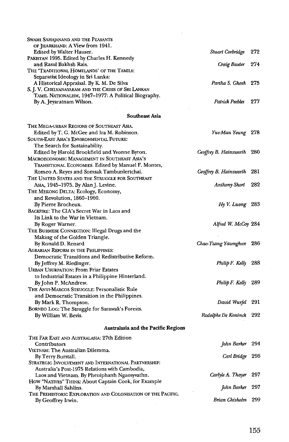| Swami Sahajanand and the Peasants                            |                            |     |
|--------------------------------------------------------------|----------------------------|-----|
| OF JHARKHAND: A View from 1941.                              |                            |     |
| Edited by Walter Hauser.                                     | Stuart Corbridge           | 272 |
| PAKISTAN 1995. Edited by Charles H. Kennedy                  |                            |     |
| and Rasul Bakhsh Rais.                                       | Craig Baxter               | 274 |
| THE 'TRADITIONAL HOMELANDS' OF THE TAMILS:                   |                            |     |
| Separatist Ideology in Sri Lanka:                            |                            |     |
| A Historical Appraisal. By K. M. De Silva                    | Partha S. Ghosh 275        |     |
| S. J. V. Chelvanayakam and the Crisis of Sri Lankan          |                            |     |
| TAMIL NATIONALISM, 1947-1977: A Political Biography.         |                            |     |
| By A. Jeyaratnam Wilson.                                     | Patrick Peebles            | 277 |
| Southeast Asia                                               |                            |     |
| The Mega-urban Regions of Southeast Asia.                    |                            |     |
| Edited by T. G. McGee and Ira M. Robinson.                   | Yue-Man Yeung 278          |     |
| SOUTH-EAST ASIA'S ENVIRONMENTAL FUTURE:                      |                            |     |
| The Search for Sustainability.                               |                            |     |
| Edited by Harold Brookfield and Yvonne Byron.                | Geoffrey B. Hainsworth 280 |     |
| MACROECONOMIC MANAGEMENT IN SOUTHEAST ASIA'S                 |                            |     |
| TRANSITIONAL ECONOMIES. Edited by Manuel F. Montes,          |                            |     |
| Romeo A. Reyes and Somsak Tambunlertchai.                    | Geoffrey B. Hainsworth     | 281 |
| THE UNITED STATES AND THE STRUGGLE FOR SOUTHEAST             |                            |     |
| Asia, 1945-1975. By Alan J. Levine.                          | Anthony Short              | 282 |
| THE MEKONG DELTA: Ecology, Economy,                          |                            |     |
| and Revolution, 1860-1960.                                   |                            |     |
| By Pierre Brocheux.                                          | Hy V. Luong                | 283 |
| BACKFIRE: The CIA's Secret War in Laos and                   |                            |     |
| Its Link to the War in Vietnam.                              |                            |     |
| By Roger Warner.                                             | Alfred W. McCoy 284        |     |
| THE BURMESE CONNECTION: Illegal Drugs and the                |                            |     |
| Making of the Golden Triangle.                               |                            |     |
| By Ronald D. Renard                                          | Chao-Tzang Yawnghwe        | 286 |
| AGRARIAN REFORM IN THE PHILIPPINES:                          |                            |     |
| Democratic Transitions and Redistributive Reform.            |                            |     |
| By Jeffrey M. Riedinger.                                     | Philip F. Kelly            | 288 |
| <b>URBAN USURPATION: From Friar Estates</b>                  |                            |     |
| to Industrial Estates in a Philippine Hinterland.            |                            |     |
| By John P. McAndrew.                                         | Philip F. Kelly            | 289 |
| THE ANTI-MARCOS STRUGGLE: Personalistic Rule                 |                            |     |
| and Democratic Transition in the Philippines.                |                            |     |
| By Mark R. Thompson.                                         | David Wurfel               | 291 |
| BORNEO LOG: The Struggle for Sarawak's Forests.              |                            |     |
| By William W. Bevis.                                         | Rodolphe De Koninck        | 292 |
| <b>Australasia and the Pacific Regions</b>                   |                            |     |
| THE FAR EAST AND AUSTRALASIA: 27th Edition                   |                            |     |
| Contributors                                                 | John Barker                | 294 |
| VIETNAM: The Australian Dilemma.                             |                            |     |
| By Terry Burstall.                                           | Carl Bridge                | 296 |
| STRATEGIC INVOLVEMENT AND INTERNATIONAL PARTNERSHIP:         |                            |     |
| Australia's Post-1975 Relations with Cambodia,               |                            |     |
| Laos and Vietnam. By Pheuiphanh Ngaosyvathn.                 | Carlyle A. Thayer          | 297 |
| HOW "NATIVES" THINK: About Captain Cook, for Example         |                            |     |
| By Marshall Sahlins.                                         | John Barker                | 297 |
| THE PREHISTORIC EXPLORATION AND COLONISATION OF THE PACIFIC. |                            |     |
| By Geoffrey Irwin.                                           | Brian Chisholm 299         |     |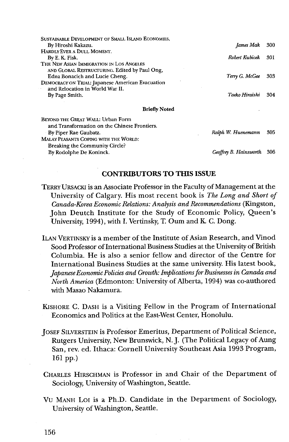| <b>SUSTAINABLE DEVELOPMENT OF SMALL ISLAND ECONOMIES.</b> |                    |      |
|-----------------------------------------------------------|--------------------|------|
| By Hiroshi Kakazu.                                        | James Mak          | 300  |
| HARDLY EVER A DULL MOMENT.                                |                    |      |
| By E. K. Fisk.                                            | Robert Kubicek     | -301 |
| THE NEW ASIAN IMMIGRATION IN LOS ANGELES                  |                    |      |
| AND GLOBAL RESTRUCTURING. Edited by Paul Ong,             |                    |      |
| Edna Bonacich and Lucie Cheng.                            | Terry G. McGee     | 303  |
| DEMOCRACY ON TRIAL: Japanese American Evacuation          |                    |      |
| and Relocation in World War II.                           |                    |      |
| By Page Smith.                                            | Taeko Hiraishi     | 304  |
| <b>Briefly Noted</b>                                      |                    |      |
| BEYOND THE GREAT WALL: Urban Form                         |                    |      |
| and Transformation on the Chinese Frontiers.              |                    |      |
| By Piper Rae Gaubatz.                                     | Ralph W. Huenemann | 305  |

MALAY PEASANTS COPING WITH THE WORLD: Breaking the Community Circle? By Rodolphe De Koninck.

*Geoffrey B. Hainswurth* **306** 

#### **CONTRIBUTORS TO THIS ISSUE**

- TERRY URSACKI is an Associate Professor in the Faculty of Management at the University of Calgary. His most recent book is *The* Long *and Short of Canada-Korea Economic Relations: Analysis and Recommendations* (Kingston, John Deutch Institute for the Study of Economic Policy, Queen's University, **1994),** with I. Vertinsky, T. Oum and **K** C. Dong.
- ILAN VERTINSKY is amember of the Institute of Asian Research, and Vinod Sood Professor of International Business Studies at the University of British Columbia. He is also a senior fellow and director of the Centre for International Business Studies at the same university. His latest book, *Japanese Economic Policies and Growth: Implications for Businesses in Canada and North America* (Edmonton: University of Alberta, 1994) was co-authored with Masao Nakamura.
- &SHORE C. DASH is a Visiting Fellow in the Program of International Economics and Politics at the East-West Center, Honolulu.
- JOSEF SILVERSTEIN is Professor Emeritus, Department of Political Science, Rutgers University, New Brunswick, N. J. (The Political Legacy of Aung San, rev. ed. Ithaca: Cornell University Southeast Asia **1993** Program, **161** pp.)
- CHARLES HIRSCHMAN is Professor in and Chair of the Department of Sociology, University of Washington, Seattle.
- VU MANH LOI is a Ph.D. Candidate in the Department of Sociology, University of Washington, Seattle.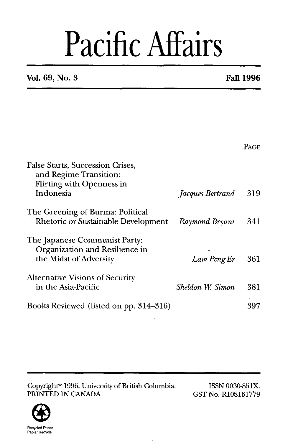# Pacific Affairs

**Vol. 69, No. 3 Fall 1996** 

|                                                                                                                    |                  | <b>PAGE</b> |
|--------------------------------------------------------------------------------------------------------------------|------------------|-------------|
| <b>False Starts, Succession Crises,</b><br>and Regime Transition:<br><b>Flirting with Openness in</b><br>Indonesia | Jacques Bertrand | 319         |
| The Greening of Burma: Political<br>Rhetoric or Sustainable Development                                            | Raymond Bryant   | 341         |
| The Japanese Communist Party:<br>Organization and Resilience in<br>the Midst of Adversity                          | Lam Peng Er      | 361         |
| Alternative Visions of Security<br>in the Asia-Pacific                                                             | Sheldon W. Simon | 381         |
| Books Reviewed (listed on pp. 314–316)                                                                             |                  | 397         |

Copyright<sup>®</sup> 1996, University of British Columbia. ISSN 0030-851X.<br>
ISSN 0030-851X.<br>
ISSN 0030-851X. PRINTED IN CANADA

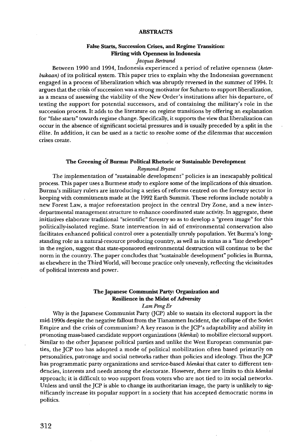#### **ABSTRACTS**

#### **False Starts, Succession Crises, and Regime Transition:**  Flirthg **with Openness in Indonesia**

*Jaques Bertrand* 

Between 1990 and 1994, Indonesia experienced a period of relative openness *(keterbukaan)* of its political system. This paper tries to explain why the Indonesian government engaged in a process of liberalization which was abruptly reversed in the summer of 1994. It argues that the crisis of succession was a strong motivator for Suharto to support liberalization, as a means of assessing the viability of the New Order's institutions after his departure, of testing the support for potential successors, and of containing the military's role in the succession process. It adds to the literature on regime transitions by offering an explanation for "false starts" towards regime change. Specifically, it supports the view that liberalization can occur in the absence of significant societal pressures and is usually preceded by a split in the elite. In addition, it can be used as a tactic to resolve some of the dilemmas that succession crises create.

#### **The Greening of Burma: Political Rhetoric or Sustainable Development**  *Raynwnd Bryant*

The implementation of "sustainable development" policies is an inescapably political process. This paper uses a Burmese study to explore some of the implications of this situation. Burma's military rulers are introducing a series of reforms centred on the forestry sector in keeping with commitments made at the 1992 Earth Summit. These reforms include notably a new Forest Law, a major reforestation project in the central Dry Zone, and a new interdepartmental management structure to enhance coordinated state activity. In aggregate, these initiatives elaborate traditional "scientific" forestry so as to develop a "green image" for this politically-isolated regime. State intervention in aid of environmental conservation also facilitates enhanced political control over a potentially unruly population. Yet Burma's longstanding role as a natural-resource producing country, as well as its status as a "late developer" in the region, suggest that state-sponsored environmental destruction will continue to be the norm in the country. The paper concludes that "sustainable development" policies in Burma, **as** elsewhere in the Third World, will become practice only unevenly, reflecting the vicissitudes of political interests and power.

#### **The Japanese Communist Party: Organization and Resilience in the Midst of Adversity**

#### *Lam Peng Er*

Why is the Japanese Communist Party (JCP) able to sustain its electoral support in the mid-1990s despite the negative fallout from the Tiananmen Incident, the collapse of the Soviet Empire and the crisis of communism? A key reason is the JCP's adaptability and ability in promoting mass-based candidate support organizations (kôenkai) to mobilize electoral support. Similar to the other Japanese political parties and unlike the West European communist parties, the JCP too has adopted a mode of political mobilization often based primarily on personalities, patronage and social networks rather than policies and ideology. Thus the JCP has programmatic party organizations and service-based *k6enkai* that cater to different tendencies, interests and needs among the electorate. However, there are limits to this *k6enkai*  approach; it is difficult to woo support from voters who are not tied to its social networks. Unless and until the JCP is able to change its authoritarian image, the party is unlikely to significantly increase its popular support in a society that has accepted democratic norms in politics.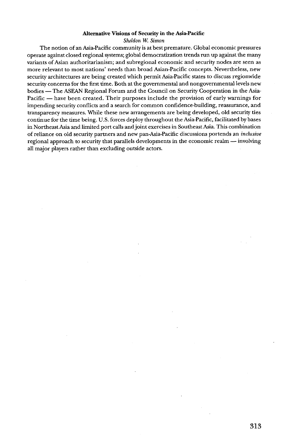#### **Alternative Visions of Security in the Asia-Pacific**

#### *Sheldon* **W.** *Simon*

The notion of an Asia-Pacific community is at best premature. Global economic pressures operate against closed regional systems; global democratization trends run up against the many variants of Asian authoritarianism; and subregional economic and security nodes are seen as more relevant to most nations' needs than broad Asian-Pacific concepts. Nevertheless, new security architectures are being created which permit Asia-Pacific states to discuss regionwide security concerns for the first time. Both at the governmental and nongovernmental levels new bodies -The **ASEAN** Regional Forum and the Council on Security Cooperation in the Asia-Pacific - have been created. Their purposes include the provision of early warnings for impending security conflicts and a search for common confidence-building, reassurance, and transparency measures. While these new arrangements are being developed, old security ties continue for the time being. U.S. forces deploy throughout the Asia-Pacific, facilitated by bases in Northeast Asia and limited port calls and joint exercises in Southeast Asia. This combination of reliance on old security partners and new pan-Asia-Pacific discussions portends an *inclusive*  regional approach to security that parallels developments in the economic realm - involving all major players rather than excluding outside actors.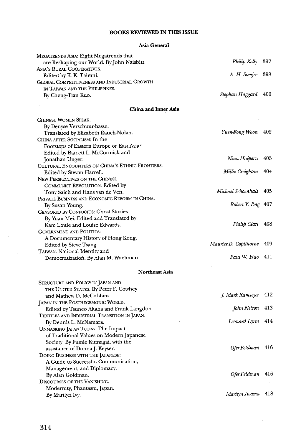#### **BOOKS REVIEWED IN THIS ISSUE**

#### **Asia General**

| MEGATRENDS ASIA: Eight Megatrends that              |                       |     |
|-----------------------------------------------------|-----------------------|-----|
| are Reshaping our World. By John Naisbitt.          | Philip Kelly          | 397 |
| Asia's Rural Cooperatives.                          |                       | 398 |
| Edited by K. K. Taimni.                             | A. H. Somjee          |     |
| <b>GLOBAL COMPETITIVENESS AND INDUSTRIAL GROWTH</b> |                       |     |
| IN TAIWAN AND THE PHILIPPINES.                      |                       | 400 |
| By Cheng-Tian Kuo.                                  | Stephan Haggard       |     |
| China and Inner Asia                                |                       |     |
| CHINESE WOMEN SPEAK.                                |                       |     |
| By Denyse Verschuur-basse.                          |                       |     |
| Translated by Elizabeth Rauch-Nolan.                | Yuen-Fong Woon 402    |     |
| CHINA AFTER SOCIALISM: In the                       |                       |     |
| Footsteps of Eastern Europe or East Asia?           |                       |     |
| Edited by Barrett L. McCormick and                  |                       |     |
| Jonathan Unger.                                     | Nina Halpern          | 403 |
| CULTURAL ENCOUNTERS ON CHINA'S ETHNIC FRONTIERS.    |                       |     |
| Edited by Stevan Harrell.                           | Millie Creighton      | 404 |
| NEW PERSPECTIVES ON THE CHINESE                     |                       |     |
| COMMUNIST REVOLUTION. Edited by                     |                       |     |
| Tony Saich and Hans van de Ven.                     | Michael Schoenhals    | 405 |
| PRIVATE BUSINESS AND ECONOMIC REFORM IN CHINA.      |                       |     |
| By Susan Young.                                     | Robert Y. Eng 407     |     |
| CENSORED BY CONFUCIUS: Ghost Stories                |                       |     |
| By Yuan Mei. Edited and Translated by               |                       |     |
| Kam Louie and Louise Edwards.                       | Philip Clart          | 408 |
| <b>GOVERNMENT AND POLITICS:</b>                     |                       |     |
| A Documentary History of Hong Kong.                 |                       |     |
| Edited by Steve Tsang.                              | Maurice D. Copithorne | 409 |
| TAIWAN: National Identity and                       |                       |     |
| Democratization. By Alan M. Wachman.                | Paul W. Hao           | 411 |
|                                                     |                       |     |
| Northeast Asia                                      |                       |     |
| STRUCTURE AND POLICY IN JAPAN AND                   |                       |     |
| THE UNITED STATES. By Peter F. Cowhey               |                       |     |
| and Mathew D. McCubbins.                            | J. Mark Ramseyer      | 412 |
| JAPAN IN THE POSTHEGEMONIC WORLD.                   |                       |     |
| Edited by Tsuneo Akaha and Frank Langdon.           | John Nelson           | 413 |
| Textiles and Industrial Transition in Japan.        |                       |     |
| By Dennis L. McNamara.                              | Leonard Lynn          | 414 |
| UNMASKING JAPAN TODAY: The Impact                   |                       |     |
| of Traditional Values on Modern Japanese            |                       |     |
| Society. By Fumie Kumagai, with the                 |                       |     |
| assistance of Donna J. Keyser.                      | Ofer Feldman          | 416 |
| DOING BUSINESS WITH THE JAPANESE:                   |                       |     |
| A Guide to Successful Communication,                |                       |     |
| Management, and Diplomacy.                          |                       |     |
| By Alan Goldman.                                    | Ofer Feldman          | 416 |
| <b>DISCOURSES OF THE VANISHING:</b>                 |                       |     |
| Modernity, Phantasm, Japan.                         |                       |     |
| By Marilyn Ivy.                                     | Marilyn Iwama         | 418 |

 $\sim$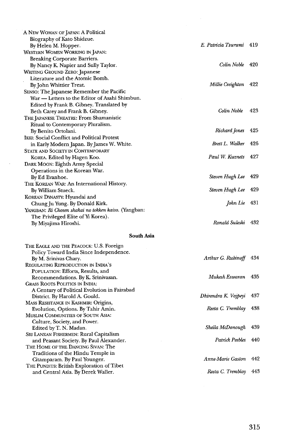| A New Woman of Japan: A Political                    |                         |     |
|------------------------------------------------------|-------------------------|-----|
| Biography of Kato Shidzue.                           |                         |     |
| By Helen M. Hopper.                                  | E. Patricia Tsurumi 419 |     |
| WESTERN WOMEN WORKING IN JAPAN:                      |                         |     |
| Breaking Corporate Barriers.                         |                         |     |
| By Nancy K. Napier and Sully Taylor.                 | Colin Noble 420         |     |
| <b>WRITING GROUND ZERO: Japanese</b>                 |                         |     |
| Literature and the Atomic Bomb.                      |                         |     |
| By John Whittier Treat.                              | Millie Creighton        | 422 |
| SENSO: The Japanese Remember the Pacific             |                         |     |
| War — Letters to the Editor of Asahi Shimbun.        |                         |     |
| Edited by Frank B. Gibney. Translated by             |                         |     |
| Beth Carey and Frank B. Gibney.                      | Colin Noble             | 423 |
| THE JAPANESE THEATRE: From Shamanistic               |                         |     |
| Ritual to Contemporary Pluralism.                    |                         |     |
| By Benito Ortolani.                                  | Richard Jones           | 425 |
| IKKI: Social Conflict and Political Protest          |                         |     |
| in Early Modern Japan. By James W. White.            | Brett L. Walker 426     |     |
| <b>STATE AND SOCIETY IN CONTEMPORARY</b>             |                         |     |
| KOREA. Edited by Hagen Koo.                          | Paul W. Kuznets 427     |     |
| DARK MOON: Eighth Army Special                       |                         |     |
| Operations in the Korean War.                        |                         |     |
| By Ed Evanhoe.                                       | Steven Hugh Lee 429     |     |
| THE KOREAN WAR: An International History.            |                         |     |
| By William Stueck.                                   | Steven Hugh Lee 429     |     |
| KOREAN DYNASTY: Hyundai and                          |                         |     |
| Chung Ju Yung. By Donald Kirk.                       | John Lie 431            |     |
| YANGBAN: Ri Chosen shakai no tokken kaiso. (Yangban: |                         |     |
| The Privileged Elite of Yi Korea).                   |                         |     |
| By Miyajima Hiroshi.                                 | Ronald Suleski          | 432 |
|                                                      |                         |     |

 $\sim$ 

#### **South Asia**

| THE EAGLE AND THE PEACOCK: U.S. Foreign      |                      |     |
|----------------------------------------------|----------------------|-----|
| Policy Toward India Since Independence.      |                      |     |
| By M. Srinivas Chary.                        | Arthur G. Rubinoff   | 434 |
| REGULATING REPRODUCTION IN INDIA'S           |                      |     |
| POPULATION: Efforts, Results, and            |                      |     |
| Recommendations. By K. Srinivasan.           | Mukesh Eswaran       | 435 |
| <b>GRASS ROOTS POLITICS IN INDIA:</b>        |                      |     |
| A Century of Political Evolution in Faizabad |                      |     |
| District. By Harold A. Gould.                | Dhirendra K. Vajpeyi | 437 |
| MASS RESISTANCE IN KASHMIR: Origins,         |                      |     |
| Evolution, Options. By Tahir Amin.           | Reeta C. Tremblay    | 438 |
| <b>MUSLIM COMMUNITIES OF SOUTH ASIA:</b>     |                      |     |
| Culture, Society, and Power.                 |                      |     |
| Edited by T. N. Madan.                       | Sheila McDonough     | 439 |
| SRI LANKAN FISHERMEN: Rural Capitalism       |                      |     |
| and Peasant Society. By Paul Alexander.      | Patrick Peebles      | 440 |
| THE HOME OF THE DANCING SIVAN: The           |                      |     |
| Traditions of the Hindu Temple in            |                      |     |
| Citamparam. By Paul Younger.                 | Anne-Marie Gaston    | 442 |
| THE PUNDITS: British Exploration of Tibet    |                      |     |
| and Central Asia. By Derek Waller.           | Reeta C. Tremblay    | 443 |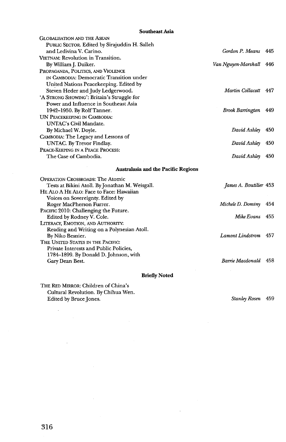#### **Southeast Asia**

| <b>GLOBALISATION AND THE ASEAN</b>              |                         |     |
|-------------------------------------------------|-------------------------|-----|
| PUBLIC SECTOR. Edited by Sirajuddin H. Salleh   |                         |     |
| and Ledivina V. Carino.                         | Gordon P. Means 445     |     |
| VIETNAM: Revolution in Transition.              |                         |     |
| By William J. Duiker.                           | Van Nguyen-Marshall 446 |     |
| PROPAGANDA, POLITICS, AND VIOLENCE              |                         |     |
| IN CAMBODIA: Democratic Transition under        |                         |     |
| United Nations Peacekeeping. Edited by          |                         |     |
| Steven Heder and Judy Ledgerwood.               | Martin Collacott 447    |     |
| 'A STRONG SHOWING': Britain's Struggle for      |                         |     |
| Power and Influence in Southeast Asia           |                         |     |
| 1942-1950. By Rolf Tanner.                      | <b>Brook Barrington</b> | 449 |
| UN PEACEKEEPING IN CAMBODIA:                    |                         |     |
| UNTAC's Civil Mandate.                          |                         |     |
| By Michael W. Doyle.                            | David Ashley            | 450 |
| CAMBODIA: The Legacy and Lessons of             |                         |     |
| UNTAC. By Trevor Findlay.                       | David Ashley            | 450 |
| PEACE-KEEPING IN A PEACE PROCESS:               |                         |     |
| The Case of Cambodia.                           | David Ashley            | 450 |
| <b>Australasia and the Pacific Regions</b>      |                         |     |
| <b>OPERATION CROSSROADS: The Atomic</b>         |                         |     |
| Tests at Bikini Atoll. By Jonathan M. Weisgall. | James A. Boutilier 453  |     |
| HE ALO A HE ALO: Face to Face: Hawaiian         |                         |     |
| Voices on Sovereignty. Edited by                |                         |     |
| Roger MacPherson Furrer.                        | Michele D. Dominy       | 454 |
| PACIFIC 2010: Challenging the Future.           |                         |     |
| Edited by Rodney V. Cole.                       | Mike Evans              | 455 |
| LITERACY, EMOTION, AND AUTHORITY:               |                         |     |
| Reading and Writing on a Polynesian Atoll.      |                         |     |
| By Niko Besnier.                                | Lamont Lindstrom 457    |     |
| THE UNITED STATES IN THE PACIFIC:               |                         |     |
| Private Interests and Public Policies,          |                         |     |
| 1784-1899. By Donald D. Johnson, with           |                         |     |
| Gary Dean Best.                                 | Barrie Macdonald 458    |     |
| <b>Briefly Noted</b>                            |                         |     |

THE RED MIRROR: Children of China's Cultural Revolution. By Chihua Wen. Edited by Bruce Jones.

 $\mathcal{L}$ 

 $\bar{z}$ 

*Stanley Rosen* **459**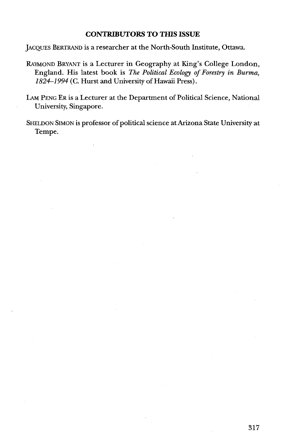#### **CONTRIBUTORS TO THIS ISSUE**

JACQUES BERTRAND is a researcher at the North-South Institute, Ottawa.

- RAYMOND BRYANT is a Lecturer in Geography at King's College London, England. His latest book is *The* **Political Ecology of** *Forestry* **in** *Burma, 1824-1994* (C. Hurst and University of Hawaii Press).
- LAM PENG ER is a Lecturer at the Department of Political Science, National University, Singapore.
- SHELDON SIMON is professor of political science at Arizona State University at Tempe.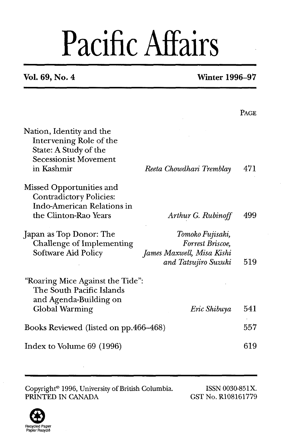## Pacific Affairs

### **Vol. 69, No. 4 Winter 1996-9'7**

|                                                                                                                            |                                                                                           | PAGE |
|----------------------------------------------------------------------------------------------------------------------------|-------------------------------------------------------------------------------------------|------|
| Nation, Identity and the<br>Intervening Role of the<br>State: A Study of the<br><b>Secessionist Movement</b><br>in Kashmir | Reeta Chowdhari Tremblay                                                                  | 471  |
| Missed Opportunities and<br>Contradictory Policies:<br>Indo-American Relations in<br>the Clinton-Rao Years                 | Arthur G. Rubinoff                                                                        | 499  |
| Japan as Top Donor: The<br>Challenge of Implementing<br>Software Aid Policy                                                | Tomoko Fujisaki,<br>Forrest Briscoe,<br>James Maxwell, Misa Kishi<br>and Tatsujiro Suzuki | 519  |
| "Roaring Mice Against the Tide":<br>The South Pacific Islands<br>and Agenda-Building on<br>Global Warming                  | Eric Shibuya                                                                              | 541  |
| Books Reviewed (listed on pp.466–468)                                                                                      |                                                                                           | 557  |
| Index to Volume 69 (1996)                                                                                                  |                                                                                           | 619  |

Copyright® 1996, University of British Columbia. ISSN 0030-851X.<br>
PRINTED IN CANADA GST No. R108161779

GST No. R108161779

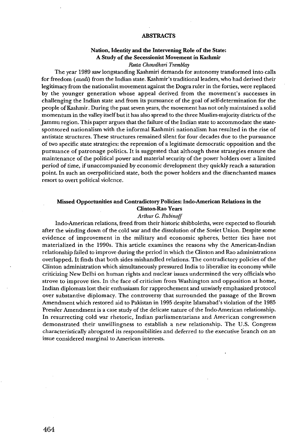#### **ABSTRACTS**

#### **Nation, Identity and the Intervening Role of the State: A Study of the Secessionist Movement in Kashmir**

#### *Reeta Chowdhari Tremblay*

The year 1989 saw longstanding Kashmiri demands for autonomy transformed into calls for freedom *(azadz)* from the Indian state. Kashmir's traditional leaders, who had derived their legitimacy from the nationalist movement against the Dogra ruler in the forties, were replaced by the younger generation whose appeal derived from the movement's successes in challenging the Indian state and from its pursuance of the goal of self-determination for the people of Kashmir. During the past seven years, the movement has not only maintained a solid momentum in the valley itself but it has also spread to the three Muslim-majority districts of the Jarnmu region. This paper argues that the failure of the Indian state to accommodate the statesponsored nationalism with the informal Kashmiri nationalism has resulted in the rise of antistate structures. These structures remained silent for four decades due to the pursuance of two specific state strategies: the repression of a legitimate democratic opposition and the pursuance of patronage politics. It is suggested that although these strategies ensure the maintenance of the political power and material security of the power holders over a limited period of time, if unaccompanied by economic development they quickly reach a saturation point. In such an overpoliticized state, both the power holders and the disenchanted masses resort to overt political violence.

#### **Missed Opportunities and Contradictory Policies: Indo-American Relations in the Clinton-Rao Years**

#### *Arthur* **G.** *Rubinoff*

Indo-American relations, freed from their historic shibboleths, were expected to flourish after the winding down of the cold war and the dissolution of the Soviet Union. Despite some evidence of improvement in the military and economic spheres, better ties have not materialized in the 1990s. This article examines the reasons why the American-Indian relationship failed to improve during the period in which the Clinton and Rao administrations overlapped. It finds that both sides mishandled relations. The contradictory policies of the Clinton administration which simultaneously pressured India to liberalize its economy while criticizing New Delhi on human rights and nuclear issues undermined the very officials who strove to improve ties. In the face of criticism from Washington and opposition at home, Indian diplomats lost their enthusiasm for rapprochement and unwisely emphasized protocol over substantive diplomacy. The controversy that surrounded the passage of the Brown Amendment which restored aid to Pakistan in 1995 despite Islamabad's violation of the 1985 Pressler Amendment is a case study of the delicate nature of the Indo-American relationship. In resurrecting cold war rhetoric, Indian parliamentarians and American congressmen demonstrated their unwillingness to establish a new relationship. The U.S. Congress characteristically abrogated its responsibilities and deferred to the executive branch on an issue considered marginal to American interests.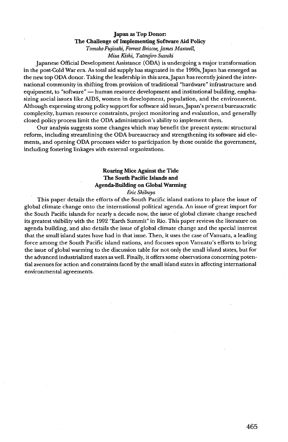#### Japan as Top Donor: The Challenge of Implementing Software Aid Policy *Tomoko Fujisaki, Fairest Briscoe, Janes Maxwell,*

#### *Misa Kishi, Tatsujiro Suzuki*

Japanese Official Development Assistance (ODA) is undergoing a major transformation in the post-Cold War era. As total aid supply has stagnated in the l99Os, Japan has emerged as the new top ODA donor. Taking the leadership in this area, Japan has recentlyjoined the interthe new top ODA donor. Taking the leadership in this area, Japan has recently joined the inter-<br>national community in shifting from provision of traditional "hardware" infrastructure and<br>equipment, to "software" — human re sizing social issues like AIDS, women in development, population, and the environment. Although expressing strong policy support for software aid issues, Japan's present bureaucratic complexity, human resource constraints, project monitoring and evaluation, and generally closed policy process limit the ODA administration's ability to implement them.

Our analysis suggests some changes which may benefit the present system: structural reform, including streamlining the ODA bureaucracy and strengthening its software aid elements, and opening ODA processes wider to participation by those outside the government, including fostering linkages with external organizations.

#### Roaring Mice Against the Tide The South Pacific Islands and Agenda-Building on Global **Wanning**

#### *Eric Shibuya*

This paper details the efforts of the South Pacific island nations to place the issue of global climate change onto the international political agenda. An issue of great import for the South Pacific islands for nearly a decade now, the issue of global climate change reached its greatest visibility with the 1992 "Earth Summit" in Rio. This paper reviews the literature on agenda building, and also details the issue of global climate change and the special interest that the small island states have had in that issue. Then, it uses the case of Vanuatu, a leading force among the South Pacific island nations, and focuses upon Vanuatu's efforts to bring the issue of global warming to the discussion table for not only the small island states, but for the advanced industrialized states as well. Finally, it offers some observations concerning potential avenues for action and constraints faced by the small island states in affecting international environmental agreements.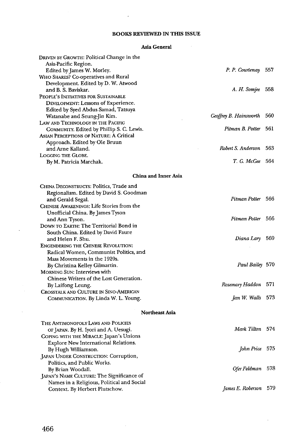#### **BOOKS REVIEWED IN THIS ISSUE**

 $\mathcal{A}$ 

#### Asia **General**

| DRIVEN BY GROWTH: Political Change in the      |                        |     |
|------------------------------------------------|------------------------|-----|
| Asia-Pacific Region.                           |                        |     |
| Edited by James W. Morley.                     | P. P. Courtenay 557    |     |
| WHO SHARES? Co-operatives and Rural            |                        |     |
| Development. Edited by D. W. Atwood            |                        |     |
| and B. S. Baviskar.                            | A. H. Somjee 558       |     |
| PEOPLE'S INITIATIVES FOR SUSTAINABLE           |                        |     |
| DEVELOPMENT: Lessons of Experience.            |                        |     |
| Edited by Syed Abdus Samad, Tatsuya            |                        |     |
| Watanabe and Seung-Jin Kim.                    | Geoffrey B. Hainsworth | 560 |
| LAW AND TECHNOLOGY IN THE PACIFIC              |                        |     |
| COMMUNITY. Edited by Phillip S. C. Lewis.      | Pitman B. Potter       | 561 |
| <b>ASIAN PERCEPTIONS OF NATURE: A Critical</b> |                        |     |
| Approach. Edited by Ole Bruun                  |                        |     |
| and Arne Kalland.                              | Robert S. Anderson     | 563 |
| LOGGING THE GLOBE.                             |                        |     |
| By M. Patricia Marchak.                        | T. G. McGee 564        |     |
| China and Inner Asia                           |                        |     |
|                                                |                        |     |
| CHINA DECONSTRUCTS: Politics, Trade and        |                        |     |
| Regionalism. Edited by David S. Goodman        | Pitman Potter 566      |     |
| and Gerald Segal.                              |                        |     |
| CHINESE AWAKENINGS: Life Stories from the      |                        |     |
| Unofficial China. By James Tyson               | Pitman Potter 566      |     |
| and Ann Tyson.                                 |                        |     |
| DOWN TO EARTH: The Territorial Bond in         |                        |     |
| South China. Edited by David Faure             |                        |     |
| and Helen F. Shu.                              | Diana Lary 569         |     |
| <b>ENGENDERING THE CHINESE REVOLUTION:</b>     |                        |     |
| Radical Women, Communist Politics, and         |                        |     |
| Mass Movements in the 1920s.                   |                        |     |
| By Christina Kelley Gilmartin.                 | Paul Bailey 570        |     |
| MORNING SUN: Interviews with                   |                        |     |
| Chinese Writers of the Lost Generation.        |                        | 571 |
| By Laifong Leung.                              | Rosemary Haddon        |     |
| CROSSTALK AND CULTURE IN SINO-AMERICAN         |                        |     |
| COMMUNICATION. By Linda W. L. Young.           | Jan W. Walls 573       |     |
| <b>Northeast Asia</b>                          |                        |     |
| THE ANTIMONOPOLY LAWS AND POLICIES             |                        |     |
| OF JAPAN. By H. Iyori and A. Uesugi.           | Mark Tilton 574        |     |
| COPING WITH THE MIRACLE: Japan's Unions        |                        |     |
| Explore New International Relations.           |                        |     |
| By Hugh Williamson.                            | John Price 575         |     |
| JAPAN UNDER CONSTRUCTION: Corruption,          |                        |     |
| Politics, and Public Works.                    |                        |     |
| By Brian Woodall.                              | Ofer Feldman 578       |     |
| JAPAN'S NAME CULTURE: The Significance of      |                        |     |
| Names in a Religious, Political and Social     |                        |     |
| Context. By Herbert Plutschow.                 | James E. Roberson      | 579 |
|                                                |                        |     |

 $\bar{z}$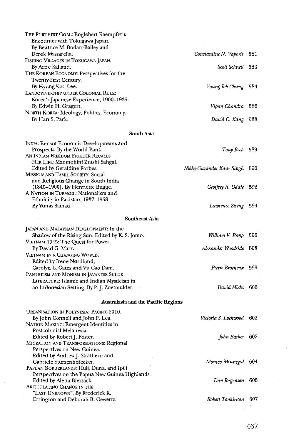| THE FURTHEST GOAL: Englebert Kaempfer's<br>Encounter with Tokugawa Japan.<br>By Beatrice M. Bodart-Bailey and |                           |     |
|---------------------------------------------------------------------------------------------------------------|---------------------------|-----|
| Derek Massarella.                                                                                             | Constantine N. Vaporis    | 581 |
| FISHING VILLAGES IN TOKUGAWA JAPAN.                                                                           |                           |     |
| By Arne Kalland.                                                                                              | Scott Schnell 583         |     |
| THE KOREAN ECONOMY. Perspectives for the<br>Twenty-First Century.                                             |                           |     |
| By Hyung-Koo Lee.                                                                                             | Young-Iob Chung           | 584 |
| LANDOWNERSHIP UNDER COLONIAL RULE:                                                                            |                           |     |
| Korea's Japanese Experience, 1900–1935.                                                                       |                           |     |
| By Edwin H. Gragert.                                                                                          | Vipan Chandra             | 586 |
| NORTH KOREA: Ideology, Politics, Economy.<br>By Han S. Park.                                                  | David C. Kang             | 588 |
|                                                                                                               |                           |     |
| South Asia                                                                                                    |                           |     |
| INDIA: Recent Economic Developments and                                                                       |                           |     |
| Prospects. By the World Bank.                                                                                 | Tony Beck 589             |     |
| AN INDIAN FREEDOM FIGHTER RECALLS<br>-HER LIFE: Manmohini Zutshi Sahgal.                                      |                           |     |
| Edited by Geraldine Forbes.                                                                                   | Nikky-Guninder Kaur Singh | 590 |
| MISSION AND TAMIL SOCIETY: Social                                                                             |                           |     |
| and Religious Change in South India                                                                           |                           |     |
| (1840–1900). By Henriette Bugge.                                                                              | Geoffrey A. Oddie         | 592 |
| A NATION IN TURMOIL: Nationalism and<br>Ethnicity in Pakistan, 1937-1958.                                     |                           |     |
| By Yunas Samad.                                                                                               | Lawrence Ziring 594       |     |
| <b>Southeast Asia</b>                                                                                         |                           |     |
|                                                                                                               |                           |     |
| JAPAN AND MALAYSIAN DEVELOPMENT: In the                                                                       |                           |     |
| Shadow of the Rising Sun. Edited by K. S. Jomo.<br>VIETNAM 1945: The Quest for Power.                         | William V. Rapp           | 596 |
| By David G. Marr.                                                                                             | Alexander Woodside 598    |     |
| VIETNAM IN A CHANGING WORLD.                                                                                  |                           |     |
| Edited by Irene Nørdlund,                                                                                     |                           |     |
| Carolyn L. Gates and Vu Cao Dam.                                                                              | Pierre Brocheux 599       |     |
| Pantheism and Monism in Javanese Suluk                                                                        |                           |     |
| LITERATURE: Islamic and Indian Mysticism in<br>an Indonesian Setting. By P. J. Zoetmulder.                    | David Hicks 600           |     |
|                                                                                                               |                           |     |
| Australasia and the Pacific Regions                                                                           |                           |     |
| URBANISATION IN POLYNESIA: PACIFIC 2010.                                                                      |                           |     |
| By John Connell and John P. Lea.                                                                              | Victoria S. Lockwood      | 602 |
| NATION MAKING: Emergent Identities in                                                                         |                           |     |
| Postcolonial Melanesia.<br>Edited by Robert J. Foster.                                                        | John Barker               | 602 |
| MIGRATION AND TRANSFORMATIONS: Regional                                                                       |                           |     |
| Perspectives on New Guinea.                                                                                   |                           |     |
| Edited by Andrew J. Strathern and                                                                             |                           |     |
| Gabriele Stürzenhofecker.                                                                                     | Monica Minnegal           | 604 |
| PAPUAN BORDERLANDS: Huli, Duna, and Ipili<br>Perspectives on the Papua New Guinea Highlands.                  |                           |     |
| Edited by Aletta Biersack.                                                                                    | Dan Jorgensen             | 605 |
| Articulating Change in the                                                                                    |                           |     |
| "Last Unknown". By Frederick K.                                                                               |                           |     |
| Errington and Deborah B. Gewertz.                                                                             | Robert Tonkinson          | 607 |

÷,

ý,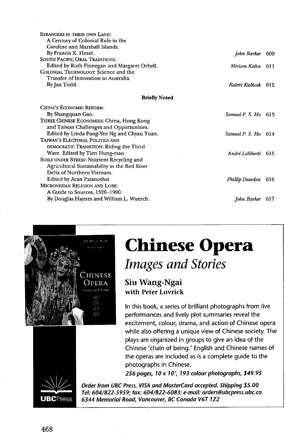| STRANGERS IN THEIR OWN LAND:                 |                     |       |
|----------------------------------------------|---------------------|-------|
| A Century of Colonial Rule in the            |                     |       |
| Caroline and Marshall Islands.               |                     |       |
| By Francis X. Hezel.                         | John Barker         | - 609 |
| SOUTH PACIFIC ORAL TRADITIONS.               |                     |       |
| Edited by Ruth Finnegan and Margaret Orbell. | Miriam Kahn         | - 611 |
| COLONIAL TECHNOLOGY: Science and the         |                     |       |
| Transfer of Innovation to Australia.         |                     |       |
| By Jan Todd.                                 | Robert Kubicek 612  |       |
| <b>Briefly Noted</b>                         |                     |       |
| CHINA'S ECONOMIC REFORM.                     |                     |       |
| By Shangquan Gao.                            | Samuel P. S. Ho 613 |       |
| THREE CHINESE ECONOMIES: China, Hong Kong    |                     |       |
| and Taiwan Challenges and Opportunities.     |                     |       |
| Edited by Linda Fung-Yee Ng and Chyau Tuan.  | Samuel P. S. Ho 614 |       |
| TAIWAN'S ELECTORAL POLITICS AND              |                     |       |

*Andri Laliberte 61* 5

**Phillip Dearden** 616

*John Barker* 61 *7* 



DEMOCRATIC TRANSITION: Riding the Third Wave. Edited by Tien Hung-mao SOILS UNDER STRESS: Nutrient Recycling and Agricultural Sustainability in the Red River

By Douglas Haynes and William L. Wuerch.

Delta of Northern Vietnam. Edited by Aran Patanothai MICRONESIAN RELIGION AND LORE: **A** Guide to Sources, 1526-1990.

## **Chinese Opera**  *Images and Stories*

**Siu Wang-Ngai with Peter Lovrick** 

In this book, a series of brilliant photographs from live performances and lively plot summaries reveal the excitement, colour, drama, and action of Chinese opera while also offering a unique view of Chinese society. The plays are organized in groups to give an idea of the Chinese 'chain of being.' English and Chinese names of the operas are included as is a complete guide to the photographs in Chinese.

**256 pages, 10 X 10'; 193 colour photographs, \$49.95** 



Order from UBC Press. VISA and MasterCard accepted. Shipping \$5.00 Tel: 604/822-5959; fax: 604/822-6083; e-mail: orders@ubcpress.ubc.ca 6344 Memorial Road, Vancouver, BC Canada V6T 1Z2